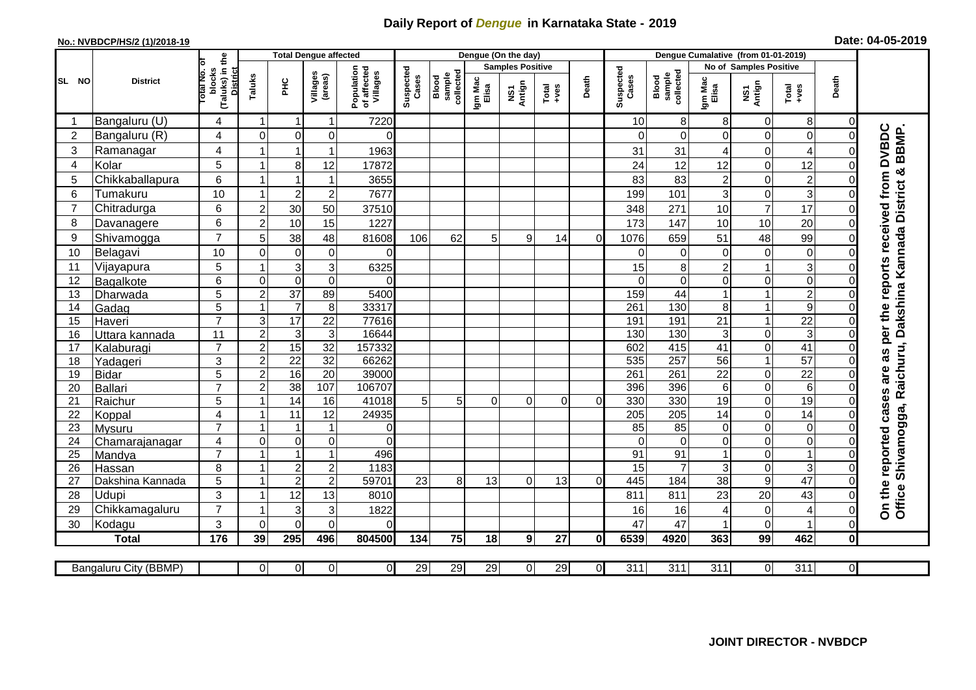## **Daily Report of** *Dengue* **in Karnataka State - 2019**

## **No.: NVBDCP/HS/2 (1)/2018-19 Date: 04-05-2019**

|                |                            |                                          | <b>Total Dengue affected</b>    |                                             |                     |                                       |                    |                              |                         | Dengue (On the day) |                                                                      |                |                    |                                |                        |                            |                                  |                     |                                                     |
|----------------|----------------------------|------------------------------------------|---------------------------------|---------------------------------------------|---------------------|---------------------------------------|--------------------|------------------------------|-------------------------|---------------------|----------------------------------------------------------------------|----------------|--------------------|--------------------------------|------------------------|----------------------------|----------------------------------|---------------------|-----------------------------------------------------|
|                | <b>District</b>            |                                          |                                 |                                             |                     |                                       |                    |                              | <b>Samples Positive</b> |                     |                                                                      |                |                    |                                | No of Samples Positive |                            |                                  |                     |                                                     |
| SL NO          |                            | (Taluks) in the<br>otal No. of<br>blocks | <b>District</b><br>Taluks<br>ΞÉ |                                             | Villages<br>(areas) | Population<br>of affected<br>Villages | Suspected<br>Cases | sample<br>collected<br>Blood | Igm Mac<br>Elisa        | NS1<br>Antign       | $\begin{array}{c}\n\text{Total} \\ \text{1} & \text{1}\n\end{array}$ | Death          | Suspected<br>Cases | sample<br>collected<br>Blood   | Igm Mac<br>Elisa       | NS1<br>Antign              | Total<br>+ves                    | Death               |                                                     |
|                | Bangaluru (U)              | 4                                        | -1                              | -1                                          | 1                   | 7220                                  |                    |                              |                         |                     |                                                                      |                | 10                 | 8                              | 8                      | $\mathbf 0$                | 8                                | $\overline{0}$      |                                                     |
| $\overline{2}$ | Bangaluru (R)              | 4                                        | $\mathbf 0$                     | $\mathbf 0$                                 | $\mathbf 0$         | $\Omega$                              |                    |                              |                         |                     |                                                                      |                |                    | $\Omega$                       | $\Omega$               | $\mathbf 0$                | $\mathbf 0$                      | 0                   |                                                     |
| 3              | Ramanagar                  | 4                                        |                                 | 1                                           | 1                   | 1963                                  |                    |                              |                         |                     |                                                                      |                | 31                 | 31                             | 4                      | 0                          | $\overline{4}$                   | 0                   | are as per the reports received from DVBDC<br>BBMP. |
| $\overline{4}$ | Kolar                      | 5                                        |                                 | 8                                           | 12                  | 17872                                 |                    |                              |                         |                     |                                                                      |                | 24                 | 12                             | 12                     | $\mathbf 0$                | 12                               | $\Omega$            |                                                     |
| 5              | Chikkaballapura            | 6                                        |                                 |                                             | 1                   | 3655                                  |                    |                              |                         |                     |                                                                      |                | 83                 | 83                             | $\overline{c}$         | $\mathbf 0$                | $\overline{2}$                   | 0                   |                                                     |
| 6              | Tumakuru                   | 10                                       |                                 | $\overline{2}$                              | $\overline{2}$      | 7677                                  |                    |                              |                         |                     |                                                                      |                | 199                | 101                            | 3                      | $\mathbf 0$                | 3                                | $\Omega$            |                                                     |
| $\overline{7}$ | Chitradurga                | 6                                        | $\overline{c}$                  | 30                                          | 50                  | 37510                                 |                    |                              |                         |                     |                                                                      |                | 348                | 271                            | 10                     | $\overline{7}$             | $\overline{17}$                  | 0                   |                                                     |
| 8              | Davanagere                 | 6                                        | $\overline{2}$                  | 10                                          | 15                  | 1227                                  |                    |                              |                         |                     |                                                                      |                | 173                | 147                            | 10                     | 10                         | 20                               | $\Omega$            |                                                     |
| 9              | Shivamogga                 | $\overline{7}$                           | 5                               | 38                                          | 48                  | 81608                                 | 106                | 62                           | 5                       | 9                   | 14                                                                   | $\Omega$       | 1076               | 659                            | 51                     | 48                         | 99                               | 0                   | Shivamogga, Raichuru, Dakshina Kannada District &   |
| 10             | Belagavi                   | 10                                       | $\mathbf 0$                     | 0                                           | $\pmb{0}$           | $\Omega$                              |                    |                              |                         |                     |                                                                      |                | ∩                  | 0                              | 0                      | $\mathbf 0$                | $\mathbf 0$                      | 0                   |                                                     |
| 11             | Vijayapura                 | 5                                        |                                 | 3                                           | 3                   | 6325                                  |                    |                              |                         |                     |                                                                      |                | 15                 | 8                              | $\overline{c}$         | $\mathbf{1}$               | $\mathbf{3}$                     | 0                   |                                                     |
| 12             | Bagalkote                  | 6                                        | $\Omega$                        | $\mathbf 0$                                 | $\boldsymbol{0}$    | $\Omega$                              |                    |                              |                         |                     |                                                                      |                | ∩                  | $\mathbf 0$                    | 0                      | $\mathbf 0$                | $\overline{0}$                   | $\Omega$            |                                                     |
| 13             | Dharwada                   | $\overline{5}$                           | $\overline{2}$                  | 37                                          | 89                  | 5400                                  |                    |                              |                         |                     |                                                                      |                | 159                | 44                             | $\mathbf{1}$           | $\mathbf{1}$               | $\overline{2}$                   | $\Omega$            |                                                     |
| 14             | Gadag                      | $\overline{5}$                           |                                 | $\overline{7}$                              | $\,8\,$             | 33317                                 |                    |                              |                         |                     |                                                                      |                | 261                | 130                            | 8                      | $\mathbf{1}$               | $\boldsymbol{9}$                 | O                   |                                                     |
| 15             | Haveri                     | $\overline{7}$                           | 3                               | $\overline{17}$                             | $\overline{22}$     | 77616                                 |                    |                              |                         |                     |                                                                      |                | 191                | 191                            | $\overline{21}$        | $\mathbf{1}$               | $\overline{22}$                  | 0                   |                                                     |
| 16             | Uttara kannada             | 11                                       | $\boldsymbol{2}$                | 3                                           | $\mathsf 3$         | 16644                                 |                    |                              |                         |                     |                                                                      |                | 130                | 130                            | 3                      | $\pmb{0}$                  | $\ensuremath{\mathsf{3}}$        | 0                   |                                                     |
| 17             | Kalaburagi                 | $\overline{7}$                           | $\overline{2}$                  | $\overline{15}$                             | 32                  | 157332                                |                    |                              |                         |                     |                                                                      |                | 602                | 415                            | 41                     | $\mathbf 0$                | $\overline{41}$                  | 0                   |                                                     |
| 18             | Yadageri                   | 3                                        | $\overline{2}$                  | $\overline{22}$                             | 32                  | 66262                                 |                    |                              |                         |                     |                                                                      |                | 535                | 257                            | 56                     | $\mathbf{1}$               | $\overline{57}$                  | 0                   |                                                     |
| 19             | Bidar                      | 5                                        | $\overline{2}$                  | 16                                          | $\overline{20}$     | 39000                                 |                    |                              |                         |                     |                                                                      |                | 261                | 261                            | $\overline{22}$        | $\mathbf 0$                | $\overline{22}$                  | 0                   |                                                     |
| 20             | Ballari                    | $\overline{7}$                           | $\mathbf 2$                     | 38                                          | 107                 | 106707                                |                    |                              |                         |                     |                                                                      |                | 396                | 396                            | 6                      | $\overline{0}$             | $\overline{6}$                   | $\Omega$            |                                                     |
| 21             | Raichur                    | 5                                        |                                 | 14                                          | 16                  | 41018                                 | 5                  | 5                            | $\Omega$                | 0                   | 0                                                                    | $\Omega$       | 330                | 330                            | 19                     | $\pmb{0}$                  | 19                               | 0                   |                                                     |
| 22             | Koppal                     | 4                                        |                                 | 11                                          | 12                  | 24935                                 |                    |                              |                         |                     |                                                                      |                | 205                | 205                            | 14                     | $\overline{0}$             | 14                               | $\Omega$            |                                                     |
| 23             | Mysuru                     | $\overline{7}$                           |                                 |                                             | 1                   | 0                                     |                    |                              |                         |                     |                                                                      |                | 85                 | 85                             | 0                      | $\mathbf 0$                | $\mathbf 0$                      | 0                   |                                                     |
| 24             | Chamarajanagar             | 4<br>$\overline{7}$                      | $\Omega$                        | $\boldsymbol{0}$<br>$\overline{\mathbf{1}}$ | 0<br>$\overline{1}$ | $\Omega$<br>496                       |                    |                              |                         |                     |                                                                      |                | $\Omega$           | $\mathbf 0$<br>$\overline{91}$ | 0                      | $\mathbf 0$<br>$\mathbf 0$ | $\boldsymbol{0}$<br>$\mathbf{1}$ | $\Omega$            |                                                     |
| 25<br>26       | Mandya                     | 8                                        |                                 | $\overline{c}$                              | $\mathbf 2$         | 1183                                  |                    |                              |                         |                     |                                                                      |                | 91<br>15           | 7                              | $\mathbf{1}$<br>3      | $\mathbf 0$                | $\mathbf{3}$                     | 0<br>$\Omega$       |                                                     |
| 27             | Hassan<br>Dakshina Kannada | $\overline{5}$                           |                                 | $\overline{2}$                              | $\overline{2}$      | 59701                                 | 23                 | 8                            | 13                      | $\Omega$            | 13                                                                   | $\Omega$       | 445                | 184                            | $\overline{38}$        | $\overline{9}$             | 47                               | $\Omega$            |                                                     |
| 28             | <b>Udupi</b>               | 3                                        |                                 | 12                                          | 13                  | 8010                                  |                    |                              |                         |                     |                                                                      |                | 811                | 811                            | 23                     | 20                         | 43                               | 0                   |                                                     |
| 29             | Chikkamagaluru             | $\overline{7}$                           |                                 | 3                                           | 3                   | 1822                                  |                    |                              |                         |                     |                                                                      |                | 16                 | 16                             | 4                      | 0                          | 4                                | 0                   | On the reported cases<br>Office:                    |
| 30             | Kodagu                     | 3                                        | $\Omega$                        | $\Omega$                                    | $\overline{0}$      | 0                                     |                    |                              |                         |                     |                                                                      |                | 47                 | 47                             |                        | $\Omega$                   |                                  | $\overline{0}$      |                                                     |
|                | <b>Total</b>               | $\frac{1}{176}$                          | 39                              | 295                                         | 496                 | 804500                                | 134                | 75                           | 18                      | 9                   | 27                                                                   | $\mathbf{0}$   | 6539               | 4920                           | 363                    | 99                         | 462                              | $\mathbf{0}$        |                                                     |
|                |                            |                                          |                                 |                                             |                     |                                       |                    |                              |                         |                     |                                                                      |                |                    |                                |                        |                            |                                  |                     |                                                     |
|                | Bangaluru City (BBMP)      |                                          | $\overline{0}$                  | $\overline{0}$                              | $\overline{0}$      | ΟI                                    | 29                 | 29                           | 29                      | $\overline{0}$      | 29                                                                   | $\overline{0}$ | $\overline{311}$   | 311                            | 311                    | $\overline{0}$             | 311                              | $\overline{\Omega}$ |                                                     |